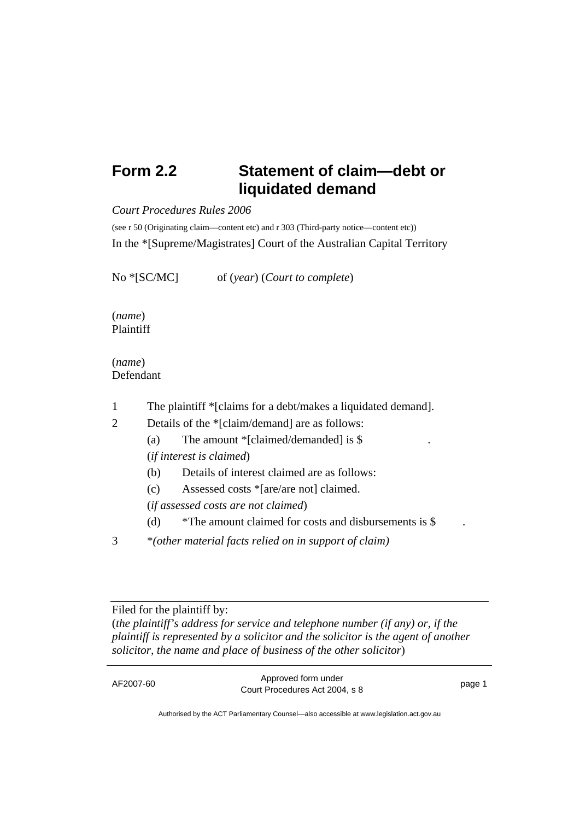## **Form 2.2 Statement of claim—debt or liquidated demand**

*Court Procedures Rules 2006*

(see r 50 (Originating claim—content etc) and r 303 (Third-party notice—content etc)) In the \*[Supreme/Magistrates] Court of the Australian Capital Territory

No \*[SC/MC] of (*year*) (*Court to complete*)

(*name*) Plaintiff

(*name*) Defendant

- 1 The plaintiff \*[claims for a debt/makes a liquidated demand].
- 2 Details of the \*[claim/demand] are as follows:
	- (a) The amount  $\ell$ [claimed/demanded] is \$ (*if interest is claimed*)
	- (b) Details of interest claimed are as follows:
	- (c) Assessed costs \*[are/are not] claimed.

(*if assessed costs are not claimed*)

- (d) \*The amount claimed for costs and disbursements is \$
- 3 \**(other material facts relied on in support of claim)*

Filed for the plaintiff by: (*the plaintiff's address for service and telephone number (if any) or*, *if the plaintiff is represented by a solicitor and the solicitor is the agent of another solicitor, the name and place of business of the other solicitor*)

| Approved form under<br>AF2007-60<br>page 1<br>Court Procedures Act 2004, s 8 |
|------------------------------------------------------------------------------|
|------------------------------------------------------------------------------|

Authorised by the ACT Parliamentary Counsel—also accessible at www.legislation.act.gov.au